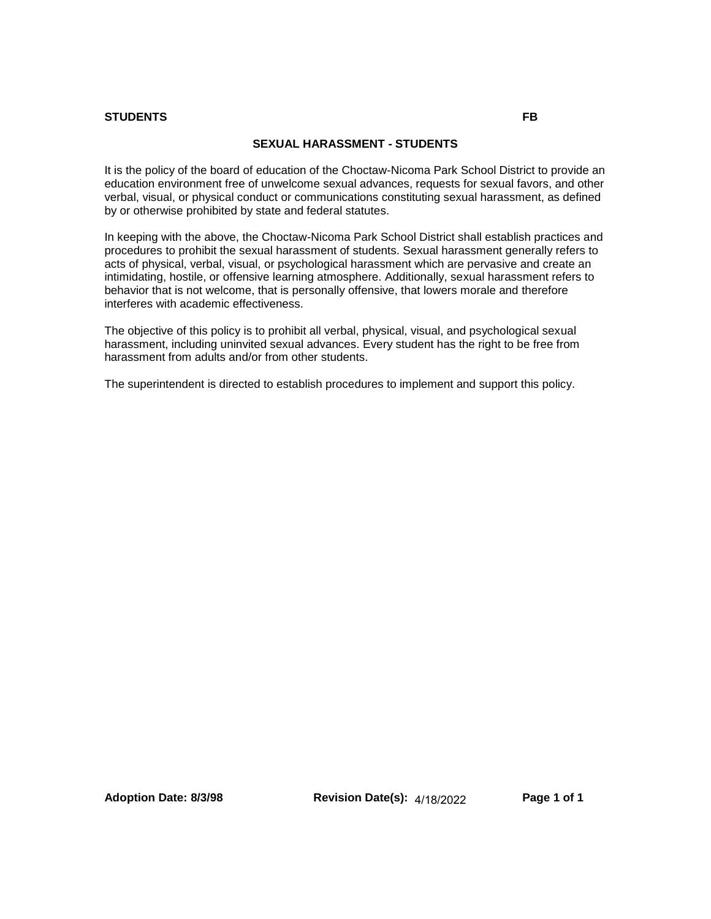#### **STUDENTS FB**

#### **SEXUAL HARASSMENT - STUDENTS**

It is the policy of the board of education of the Choctaw-Nicoma Park School District to provide an education environment free of unwelcome sexual advances, requests for sexual favors, and other verbal, visual, or physical conduct or communications constituting sexual harassment, as defined by or otherwise prohibited by state and federal statutes.

In keeping with the above, the Choctaw-Nicoma Park School District shall establish practices and procedures to prohibit the sexual harassment of students. Sexual harassment generally refers to acts of physical, verbal, visual, or psychological harassment which are pervasive and create an intimidating, hostile, or offensive learning atmosphere. Additionally, sexual harassment refers to behavior that is not welcome, that is personally offensive, that lowers morale and therefore interferes with academic effectiveness.

The objective of this policy is to prohibit all verbal, physical, visual, and psychological sexual harassment, including uninvited sexual advances. Every student has the right to be free from harassment from adults and/or from other students.

The superintendent is directed to establish procedures to implement and support this policy.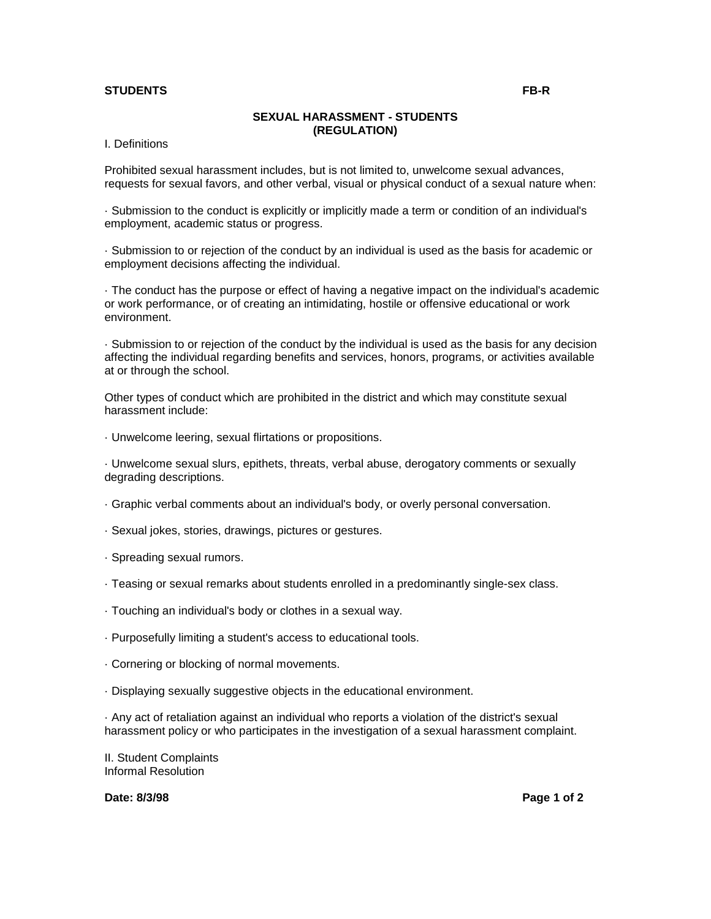## **STUDENTS FB-R**

# **SEXUAL HARASSMENT - STUDENTS (REGULATION)**

I. Definitions

Prohibited sexual harassment includes, but is not limited to, unwelcome sexual advances, requests for sexual favors, and other verbal, visual or physical conduct of a sexual nature when:

· Submission to the conduct is explicitly or implicitly made a term or condition of an individual's employment, academic status or progress.

· Submission to or rejection of the conduct by an individual is used as the basis for academic or employment decisions affecting the individual.

· The conduct has the purpose or effect of having a negative impact on the individual's academic or work performance, or of creating an intimidating, hostile or offensive educational or work environment.

· Submission to or rejection of the conduct by the individual is used as the basis for any decision affecting the individual regarding benefits and services, honors, programs, or activities available at or through the school.

Other types of conduct which are prohibited in the district and which may constitute sexual harassment include:

· Unwelcome leering, sexual flirtations or propositions.

· Unwelcome sexual slurs, epithets, threats, verbal abuse, derogatory comments or sexually degrading descriptions.

- · Graphic verbal comments about an individual's body, or overly personal conversation.
- · Sexual jokes, stories, drawings, pictures or gestures.
- · Spreading sexual rumors.
- · Teasing or sexual remarks about students enrolled in a predominantly single-sex class.
- · Touching an individual's body or clothes in a sexual way.
- · Purposefully limiting a student's access to educational tools.
- · Cornering or blocking of normal movements.
- · Displaying sexually suggestive objects in the educational environment.

· Any act of retaliation against an individual who reports a violation of the district's sexual harassment policy or who participates in the investigation of a sexual harassment complaint.

II. Student Complaints Informal Resolution

**Date: 8/3/98 Page 1 of 2**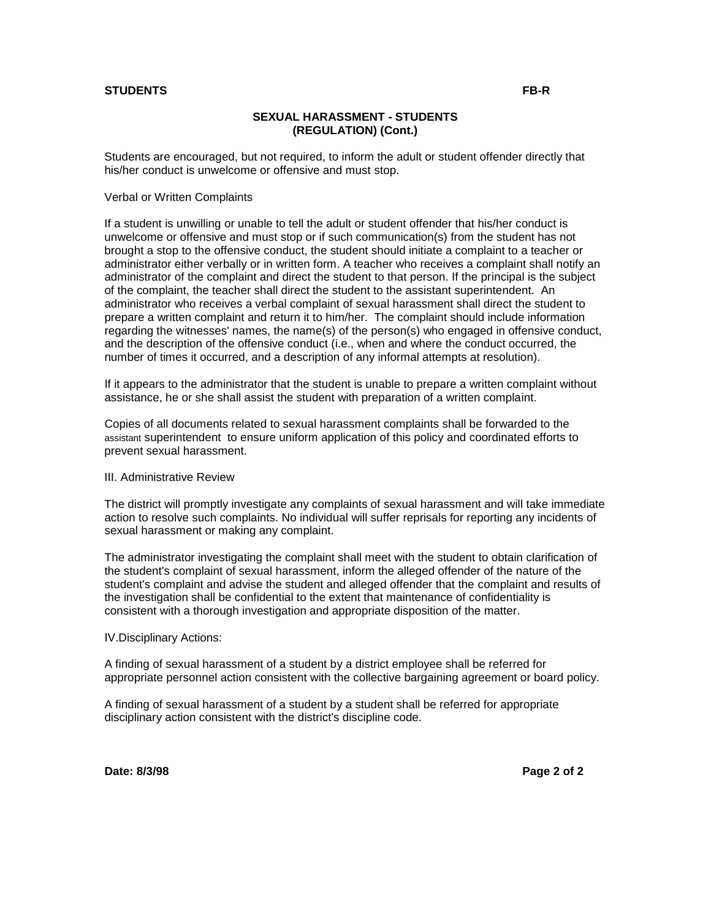## **STUDENTS FB-R**

## **SEXUAL HARASSMENT - STUDENTS (REGULATION) (Cont.)**

Students are encouraged, but not required, to inform the adult or student offender directly that his/her conduct is unwelcome or offensive and must stop.

Verbal or Written Complaints

If a student is unwilling or unable to tell the adult or student offender that his/her conduct is unwelcome or offensive and must stop or if such communication(s) from the student has not brought a stop to the offensive conduct, the student should initiate a complaint to a teacher or administrator either verbally or in written form. A teacher who receives a complaint shall notify an administrator of the complaint and direct the student to that person. If the principal is the subject of the complaint, the teacher shall direct the student to the assistant superintendent. An administrator who receives a verbal complaint of sexual harassment shall direct the student to prepare a written complaint and return it to him/her. The complaint should include information regarding the witnesses' names, the name(s) of the person(s) who engaged in offensive conduct, and the description of the offensive conduct (i.e., when and where the conduct occurred, the number of times it occurred, and a description of any informal attempts at resolution).

If it appears to the administrator that the student is unable to prepare a written complaint without assistance, he or she shall assist the student with preparation of a written complaint.

Copies of all documents related to sexual harassment complaints shall be forwarded to the assistant superintendent to ensure uniform application of this policy and coordinated efforts to prevent sexual harassment.

#### III. Administrative Review

The district will promptly investigate any complaints of sexual harassment and will take immediate action to resolve such complaints. No individual will suffer reprisals for reporting any incidents of sexual harassment or making any complaint.

The administrator investigating the complaint shall meet with the student to obtain clarification of the student's complaint of sexual harassment, inform the alleged offender of the nature of the student's complaint and advise the student and alleged offender that the complaint and results of the investigation shall be confidential to the extent that maintenance of confidentiality is consistent with a thorough investigation and appropriate disposition of the matter.

IV.Disciplinary Actions:

A finding of sexual harassment of a student by a district employee shall be referred for appropriate personnel action consistent with the collective bargaining agreement or board policy.

A finding of sexual harassment of a student by a student shall be referred for appropriate disciplinary action consistent with the district's discipline code.

**Date: 8/3/98 Page 2 of 2**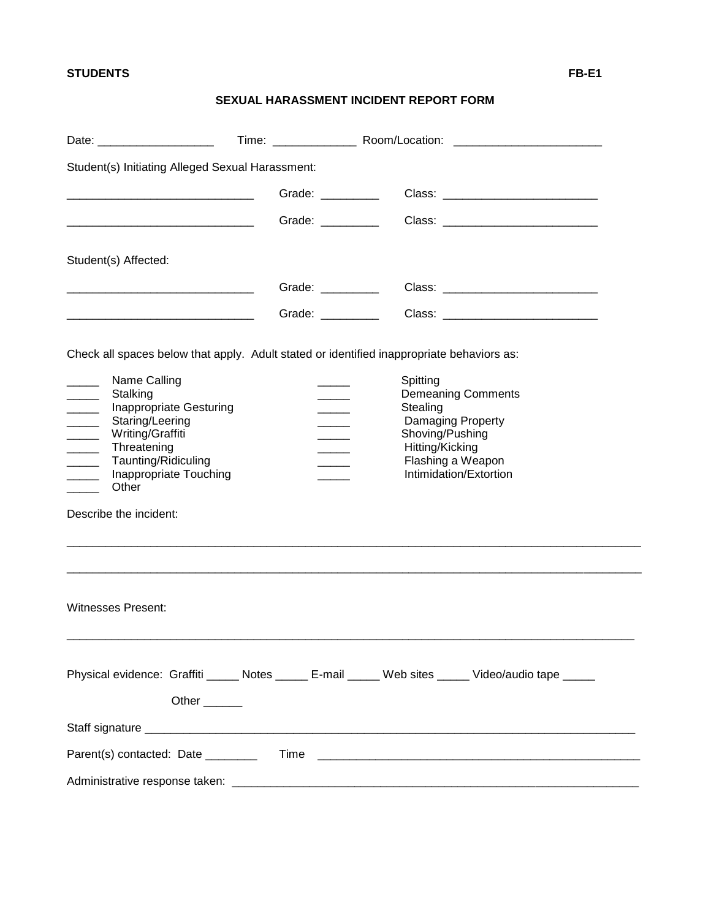# **STUDENTS FB-E1**

# **SEXUAL HARASSMENT INCIDENT REPORT FORM**

| Student(s) Initiating Alleged Sexual Harassment:                                                                                                                                                                                                                                                                                                                |                   |                                                                                                                                                             |  |
|-----------------------------------------------------------------------------------------------------------------------------------------------------------------------------------------------------------------------------------------------------------------------------------------------------------------------------------------------------------------|-------------------|-------------------------------------------------------------------------------------------------------------------------------------------------------------|--|
|                                                                                                                                                                                                                                                                                                                                                                 | Grade: _________  |                                                                                                                                                             |  |
|                                                                                                                                                                                                                                                                                                                                                                 | Grade: ________   |                                                                                                                                                             |  |
| Student(s) Affected:                                                                                                                                                                                                                                                                                                                                            |                   |                                                                                                                                                             |  |
| <u> 1989 - Johann Barbara, martin da basar da basar da basar da basar da basar da basar da basar da basar da basa</u>                                                                                                                                                                                                                                           | Grade: __________ |                                                                                                                                                             |  |
| <u> 1989 - Johann Barbara, martin da kasar Amerikaansk filosof (</u>                                                                                                                                                                                                                                                                                            | Grade: __________ |                                                                                                                                                             |  |
|                                                                                                                                                                                                                                                                                                                                                                 |                   | Check all spaces below that apply. Adult stated or identified inappropriate behaviors as:                                                                   |  |
| Name Calling<br>Stalking<br>$\frac{1}{2}$<br><b>Inappropriate Gesturing</b><br>Staring/Leering<br>$\overline{\phantom{a}}$<br>Writing/Graffiti<br>$\mathcal{L}(\mathcal{L})$<br>Threatening<br>$\overline{\phantom{a}}$<br>Taunting/Ridiculing<br>$\overline{\phantom{a}}$<br>Inappropriate Touching<br>$\sim$ $-$<br>Other<br>$\sim$<br>Describe the incident: |                   | Spitting<br><b>Demeaning Comments</b><br>Stealing<br>Damaging Property<br>Shoving/Pushing<br>Hitting/Kicking<br>Flashing a Weapon<br>Intimidation/Extortion |  |
| <b>Witnesses Present:</b>                                                                                                                                                                                                                                                                                                                                       |                   |                                                                                                                                                             |  |
| Other <sub>_______</sub>                                                                                                                                                                                                                                                                                                                                        |                   | Physical evidence: Graffiti _____ Notes _____ E-mail _____ Web sites _____ Video/audio tape _____                                                           |  |
|                                                                                                                                                                                                                                                                                                                                                                 |                   |                                                                                                                                                             |  |
|                                                                                                                                                                                                                                                                                                                                                                 |                   |                                                                                                                                                             |  |
|                                                                                                                                                                                                                                                                                                                                                                 |                   |                                                                                                                                                             |  |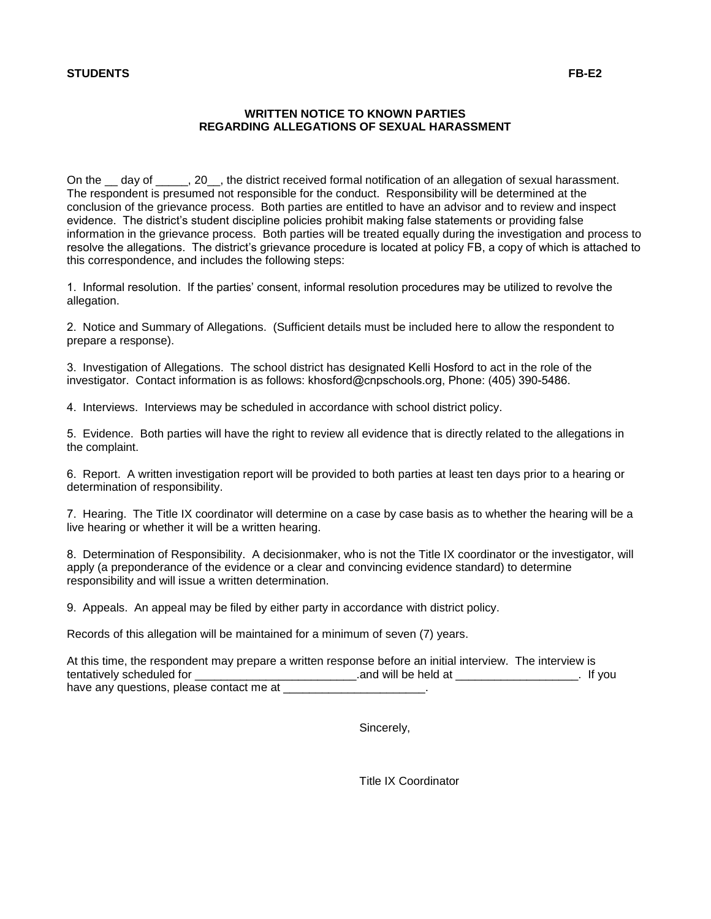# **STUDENTS FB-E2**

# **WRITTEN NOTICE TO KNOWN PARTIES REGARDING ALLEGATIONS OF SEXUAL HARASSMENT**

On the day of  $\qquad$  . 20  $\qquad$ , the district received formal notification of an allegation of sexual harassment. The respondent is presumed not responsible for the conduct. Responsibility will be determined at the conclusion of the grievance process. Both parties are entitled to have an advisor and to review and inspect evidence. The district's student discipline policies prohibit making false statements or providing false information in the grievance process. Both parties will be treated equally during the investigation and process to resolve the allegations. The district's grievance procedure is located at policy FB, a copy of which is attached to this correspondence, and includes the following steps:

1. Informal resolution. If the parties' consent, informal resolution procedures may be utilized to revolve the allegation.

2. Notice and Summary of Allegations. (Sufficient details must be included here to allow the respondent to prepare a response).

3. Investigation of Allegations. The school district has designated Kelli Hosford to act in the role of the investigator. Contact information is as follows: khosford@cnpschools.org, Phone: (405) 390-5486.

4. Interviews. Interviews may be scheduled in accordance with school district policy.

5. Evidence. Both parties will have the right to review all evidence that is directly related to the allegations in the complaint.

6. Report. A written investigation report will be provided to both parties at least ten days prior to a hearing or determination of responsibility.

7. Hearing. The Title IX coordinator will determine on a case by case basis as to whether the hearing will be a live hearing or whether it will be a written hearing.

8. Determination of Responsibility. A decisionmaker, who is not the Title IX coordinator or the investigator, will apply (a preponderance of the evidence or a clear and convincing evidence standard) to determine responsibility and will issue a written determination.

9. Appeals. An appeal may be filed by either party in accordance with district policy.

Records of this allegation will be maintained for a minimum of seven (7) years.

| At this time, the respondent may prepare a written response before an initial interview. The interview is |                      |          |
|-----------------------------------------------------------------------------------------------------------|----------------------|----------|
| tentatively scheduled for                                                                                 | and will be held at. | . If you |
| have any questions, please contact me at                                                                  |                      |          |

Sincerely,

Title IX Coordinator